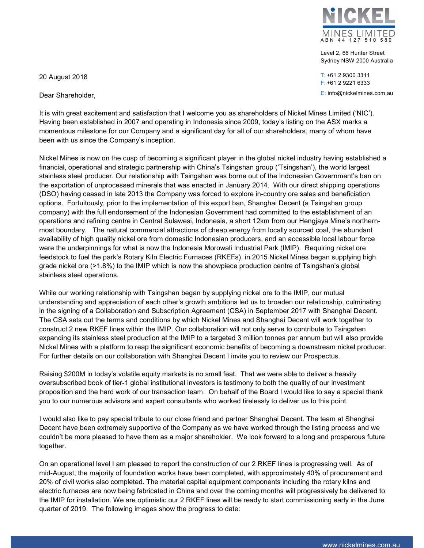

Level 2, 66 Hunter Street Sydney NSW 2000 Australia

T: +61 2 9300 3311 F: +61 2 9221 6333 E: info@nickelmines.com.au

20 August 2018

Dear Shareholder,

It is with great excitement and satisfaction that I welcome you as shareholders of Nickel Mines Limited ('NIC'). Having been established in 2007 and operating in Indonesia since 2009, today's listing on the ASX marks a momentous milestone for our Company and a significant day for all of our shareholders, many of whom have been with us since the Company's inception.

Nickel Mines is now on the cusp of becoming a significant player in the global nickel industry having established a financial, operational and strategic partnership with China's Tsingshan group ('Tsingshan'), the world largest stainless steel producer. Our relationship with Tsingshan was borne out of the Indonesian Government's ban on the exportation of unprocessed minerals that was enacted in January 2014. With our direct shipping operations (DSO) having ceased in late 2013 the Company was forced to explore in-country ore sales and beneficiation options. Fortuitously, prior to the implementation of this export ban, Shanghai Decent (a Tsingshan group company) with the full endorsement of the Indonesian Government had committed to the establishment of an operations and refining centre in Central Sulawesi, Indonesia, a short 12km from our Hengjaya Mine's northernmost boundary. The natural commercial attractions of cheap energy from locally sourced coal, the abundant availability of high quality nickel ore from domestic Indonesian producers, and an accessible local labour force were the underpinnings for what is now the Indonesia Morowali Industrial Park (IMIP). Requiring nickel ore feedstock to fuel the park's Rotary Kiln Electric Furnaces (RKEFs), in 2015 Nickel Mines began supplying high grade nickel ore (>1.8%) to the IMIP which is now the showpiece production centre of Tsingshan's global stainless steel operations.

While our working relationship with Tsingshan began by supplying nickel ore to the IMIP, our mutual understanding and appreciation of each other's growth ambitions led us to broaden our relationship, culminating in the signing of a Collaboration and Subscription Agreement (CSA) in September 2017 with Shanghai Decent. The CSA sets out the terms and conditions by which Nickel Mines and Shanghai Decent will work together to construct 2 new RKEF lines within the IMIP. Our collaboration will not only serve to contribute to Tsingshan expanding its stainless steel production at the IMIP to a targeted 3 million tonnes per annum but will also provide Nickel Mines with a platform to reap the significant economic benefits of becoming a downstream nickel producer. For further details on our collaboration with Shanghai Decent I invite you to review our Prospectus.

Raising \$200M in today's volatile equity markets is no small feat. That we were able to deliver a heavily oversubscribed book of tier-1 global institutional investors is testimony to both the quality of our investment proposition and the hard work of our transaction team. On behalf of the Board I would like to say a special thank you to our numerous advisors and expert consultants who worked tirelessly to deliver us to this point.

I would also like to pay special tribute to our close friend and partner Shanghai Decent. The team at Shanghai Decent have been extremely supportive of the Company as we have worked through the listing process and we couldn't be more pleased to have them as a major shareholder. We look forward to a long and prosperous future together.

On an operational level I am pleased to report the construction of our 2 RKEF lines is progressing well. As of mid-August, the majority of foundation works have been completed, with approximately 40% of procurement and 20% of civil works also completed. The material capital equipment components including the rotary kilns and electric furnaces are now being fabricated in China and over the coming months will progressively be delivered to the IMIP for installation. We are optimistic our 2 RKEF lines will be ready to start commissioning early in the June quarter of 2019. The following images show the progress to date: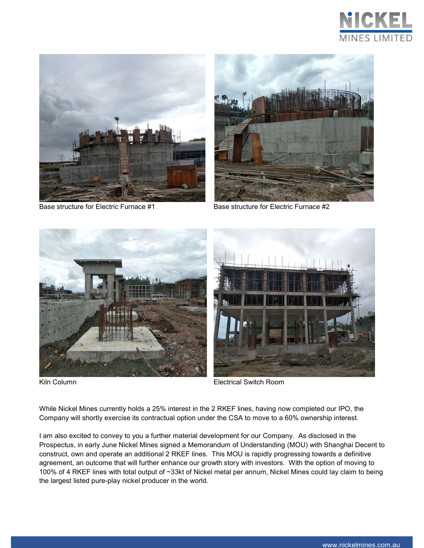



Base structure for Electric Furnace #1 Base structure for Electric Furnace #2







Kiln Column Electrical Switch Room

While Nickel Mines currently holds a 25% interest in the 2 RKEF lines, having now completed our IPO, the Company will shortly exercise its contractual option under the CSA to move to a 60% ownership interest.

I am also excited to convey to you a further material development for our Company. As disclosed in the Prospectus, in early June Nickel Mines signed a Memorandum of Understanding (MOU) with Shanghai Decent to construct, own and operate an additional 2 RKEF lines. This MOU is rapidly progressing towards a definitive agreement, an outcome that will further enhance our growth story with investors. With the option of moving to 100% of 4 RKEF lines with total output of ~33kt of Nickel metal per annum, Nickel Mines could lay claim to being the largest listed pure-play nickel producer in the world.